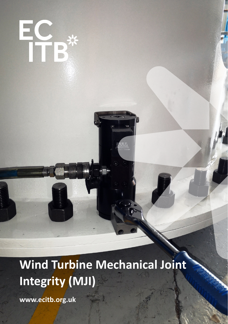**Wind Turbine Mechanical Joint Integrity (MJI)**

**www.ecitb.org.uk**

EC<br>TTB